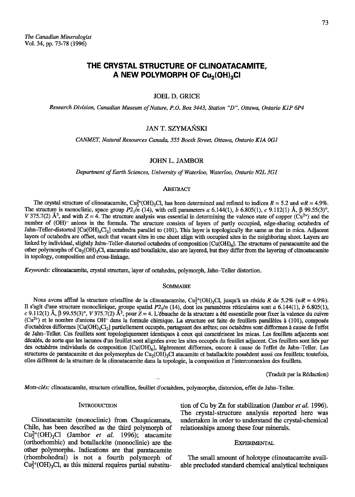# THE CRYSTAL STRUCTURE OF CLINOATACAMITE. A NEW POLYMORPH OF Cu<sub>2</sub>(OH)<sub>2</sub>CI

#### **JOEL D. GRICE**

Research Division, Canadian Museum of Nature, P.O. Box 3443, Station "D", Ottawa, Ontario K1P 6P4

# **JAN T. SZYMAŃSKI**

CANMET, Natural Resources Canada, 555 Booth Street, Ottawa, Ontario K1A 0G1

# **JOHN L. JAMBOR**

Department of Earth Sciences, University of Waterloo, Waterloo, Ontario N2L 3G1

#### ABSTRACT

The crystal structure of clinoatacamite,  $Cu_7^{2+}(OH)_3Cl$ , has been determined and refined to indices  $R = 5.2$  and  $wR = 4.9\%$ . The structure is monoclinic, space group  $P2_1/n$  (14), with cell parameters a 6.144(1), b 6.805(1), c 9.112(1) Å,  $\beta$  99.55(3)°, V 375.7(2) Å<sup>3</sup>, and with  $Z = 4$ . The structure analysis was essential in determining the valence state of copper (Cu<sup>2+</sup>) and the number of (OH) anions in the formula. The structure consists of layers of partly occupied, edge-sharing octahedra of Jahn-Teller-distorted [Cu(OH)<sub>4</sub>Cl<sub>2</sub>] octahedra parallel to (101). This layer is topologically the same as that in mica. Adjacent layers of octahedra are offset, such that vacant sites in one sheet align with occupied sites in the neighboring sheet. Layers are linked by individual, slightly Jahn-Teller-distorted octahedra of composition [Cu(OH)<sub>6</sub>]. The structures of paratacamite and the other polymorphs of Cu<sub>2</sub>(OH)<sub>3</sub>Cl, atacamite and botallakite, also are layered, but they differ from the layering of clinoatacamite in topology, composition and cross-linkage.

Keywords: clinoatacamite, crystal structure, layer of octahedra, polymorph, Jahn-Teller distortion.

#### **SOMMAIRE**

Nous avons affiné la structure cristalline de la clinoatacamite, Cu<sup>2+</sup>(OH)<sub>3</sub>Cl, jusqu'à un résidu R de 5.2% (wR = 4.9%). Il s'agit d'une structure monoclinique, groupe spatial  $P2_1/n$  (14), dont les paramètres réticulaires sont a 6.144(1), b 6.805(1), c 9.112(1) Å,  $\beta$  99.55(3)°, V 375.7(2) Å<sup>3</sup>, pour  $Z = 4$ . L'ébauche de la structure a été essentielle pour fixer la valence du cuivre  $(Cu^{2+})$  et le nombre d'anions OH<sup>-</sup> dans la formule chimique. La structure est faite de feuillets parallèles à (101), composés d'octaèdres difformes [Cu(OH)<sub>4</sub>Cl<sub>2</sub>] partiellement occupés, partageant des arêtes; ces octaèdres sont difformes à cause de l'effet de Jahn-Teller. Ces feuillets sont topologiquement identiques à ceux qui caractérisent les micas. Les feuillets adjacents sont décalés, de sorte que les lacunes d'un feuillet sont alignées avec les sites occupés du feuillet adjacent. Ces feuillets sont liés par des octaèdres individuels de composition  $[Cu(OH)<sub>6</sub>]$ , légèrement difformes, encore à cause de l'effet de Jahn-Teller. Les structures de paratacamite et des polymorphes de Cu<sub>2</sub>(OH)<sub>3</sub>Cl atacamite et batallackite possèdent aussi ces feuillets; toutefois, elles diffèrent de la structure de la clinoatacamite dans la topologie, la composition et l'interconnexion des feuillets.

(Traduit par la Rédaction)

Mots-clés: clinoatacamite, structure cristalline, feuillet d'octaèdres, polymorphe, distorsion, effet de Jahn-Teller.

#### **INTRODUCTION**

Clinoatacamite (monoclinic) from Chuquicamata, Chile, has been described as the third polymorph of  $Cu<sub>2</sub><sup>2+</sup>(OH)<sub>3</sub>Cl$  (Jambor et al. 1996); atacamite (orthorhombic) and botallackite (monoclinic) are the other polymorphs. Indications are that paratacamite (rhombohedral) is not a fourth polymorph of  $Cu<sup>2+</sup><sub>2</sub>(OH)<sub>3</sub>Cl$ , as this mineral requires partial substitution of Cu by Zn for stabilization (Jambor et al. 1996). The crystal-structure analysis reported here was undertaken in order to understand the crystal-chemical relationships among these four minerals.

#### **EXPERIMENTAL**

The small amount of holotype clinoatacamite available precluded standard chemical analytical techniques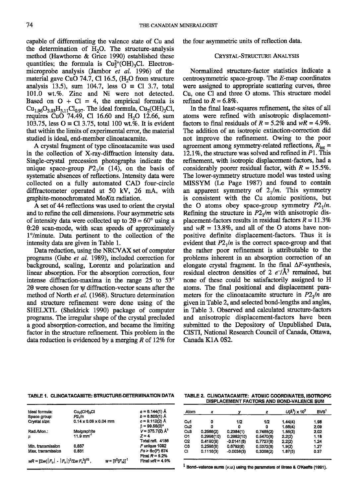capable of differentiating the valence state of Cu and the determination of  $H<sub>2</sub>O$ . The structure-analysis method (Hawthorne & Grice 1990) established these quantities; the formula is  $Cu<sub>2</sub><sup>2+</sup>(OH)<sub>3</sub>Cl$ . Electronmicroprobe analysis (Jambor et al. 1996) of the material gave CuO 74.7, Cl 16.5,  $(H<sub>2</sub>O$  from structure analysis 13.5), sum 104.7, less  $O \equiv Cl$  3.7, total 101.0 wt.%. Zinc and Ni were not detected. Based on  $O + Cl = 4$ , the empirical formula is  $Cu_{1.96}O_{3.03}H_{3.11}Cl_{0.97}$ . The ideal formula,  $Cu_{2}(OH)_{3}Cl$ , requires CuO 74.49, Cl 16.60 and  $H<sub>2</sub>O$  12.66, sum 103.75, less  $O \equiv Cl$  3.75, total 100 wt.%. It is evident that within the limits of experimental error, the malerial studied is ideal, end-member clinoatacamite.

A crystal fragment of type clinoatacamite was used in the collection of X-ray-diffraction intensity data. Single-crystal precession photographs indicate the unique space-group  $P2_1/n$  (14), on the basis of systematic absences of reflections. Intensity data were collected on a fully automated CAD four-circle diffractometer operated at 50 kV, 26 mA, with graphite-monochromated  $M \circ K \alpha$  radiation.

A set of 44 reflections was used to orient the crystal and to refine the cell dimensions. Four asymmetric sets of intensity data were collected up to  $2\theta = 60^{\circ}$  using a  $0:20$  scan-mode, with scan speeds of approximately 1°/minute. Data pertinent to the collection of the intensity data are given in Table 1.

Data reduction, using the NRCVAX set of computer programs (Gabe et aI. 1989), included correction for background, sealing, Lorentz and polarization and linear absorption. For the absorption correction, four intense diffraction-maxima in the range  $25$  to  $53^{\circ}$ 20 were chosen for y diffraction-vector scans after the method of North et al. (1968). Structure determination and structure refinement were done using of the SHELXTL (Sheldrick 1990) package of computer programs. The irregular shape of the crystal precluded a good absorption-correction, and became the limiting factor in the structure refinement. This problem in the data reduction is evidenced by a merging R of 12% for

the four asymmetric units of reflection data.

#### CRYSTAL-STRUCTURE ANALYSIS

Normalized structure-factor statistics indicate a centrosymmetric space-group. The  $E$ -map coordinates were assigned to appropriate scattering curves, three Cu. one Cl and three O atoms. This sffucture model refined to  $R=6.8\%$ .

In the final least-squares refinement, the sites of all atoms were refined with anisotopic displacementfactors to final residuals of  $R = 5.2\%$  and  $wR = 4.9\%$ . The addition of an isotopic extinction-correction did not improve the refinement. Owing to the poor agreement among symmetry-related reflections,  $R_{\text{int}} =$ 12.1%, the structure was solved and refined in  $P1$ . This refinement, with isotropic displacement-factors, had a considerably poorer residual factor, with  $R = 15.5\%$ . The lower-symmetry structure model was tested using MISSYM (Le Page 1987) and found to contain an apparent symmetry of  $2<sub>1</sub>/m$ . This symmetry is consistent with the Cu atomic positions, but the O atoms obey space-group symmetry  $P2_1/n$ . Refining the structure in  $P2<sub>1</sub>/m$  with anisotropic displacement-factors results in residual factors  $R = 11.3\%$ and  $wR = 13.8\%$ , and all of the O atoms have nonpositive definite displacement-factors. Thus it is evident that  $P2_1/n$  is the correct space-group and that the rather poor refinement is attributable to the problems inherent in an absorption correction of an elongate crystal fragment. In the final  $\Delta F$ -synthesis, residual electron densities of 2  $e^{-}/A^3$  remained, but none of these could be satisfactorily assigned to H atoms. The final positional and displacement parameters for the clinoatacamite structure in  $P2_1/n$  are given in Table 2, and selected bond-lengths and angles, in Table 3. Observed and calculated structure-factors and anisotropic displacement-factors have been submitted to the Depository of Unpublished Data, CISTI, National Research Council of Canada, Ottawa, Canada K1A 0S2.

# TABLE 1. CLINOATACAMITE: STRUCTURE-DETERMINATION DATA TABLE 2. CLINOATACAMITE: ATOMIC COORDINATES, ISOTROPIC

| Ideal formula:                                                               | Cu <sub>2</sub> (OH) <sub>3</sub> Cl | $a = 6.144(1)$ Å              |
|------------------------------------------------------------------------------|--------------------------------------|-------------------------------|
| Space group:                                                                 | $P2\sqrt{n}$                         | $b = 6.805(1)$ Å              |
| Crystal size:                                                                | $0.14 \times 0.06 \times 0.04$ mm    | $c = 0.112(2)$ Å              |
|                                                                              |                                      | $\beta = 99.55(3)^{o}$        |
| Rad./Mon.:                                                                   |                                      | $V = 375.7(2)$ Å <sup>3</sup> |
| μ                                                                            | Mo/graphite<br>11.9 mm <sup>-1</sup> | $7 = 4$                       |
|                                                                              |                                      | Total refl. 4186              |
| Min. transmission                                                            | 0.637                                | $F$ unique 1092               |
| Max. transmission                                                            | 0.831                                | $Fo > 60(F)$ 674              |
|                                                                              |                                      | Final $R = 5.2%$              |
| $WR =  \Sigma W F_{\alpha}  -  F_{\alpha} ^2/\Sigma W F_{\alpha}^21^{1/2}$ . | $w = 18^{2}(F_{2})T^{1}$             | Final $wR = 4.9\%$            |
|                                                                              |                                      |                               |

DISPLACEMENT FACTORS AND BOND-VALENCE SUM

| Atom            | x          |              | z         | $U(A^2) \times 10^2$ | BVS <sup>1</sup> |
|-----------------|------------|--------------|-----------|----------------------|------------------|
| Cu1             | ٥          | 1/2          | 1/2       | 1.44(4)              | 1.98             |
| Cu <sub>2</sub> | ۵          | ٥            | ٥         | 1.68(4)              | 2.09             |
| Cu <sub>3</sub> | 0.2586(2)  | 0.2384(1)    | 0.7485(2) | 1.55(3)              | 2.02             |
| О1              | 0.2998(10) | 0.2962(10)   | 0.5470(8) | 2.2(2)               | 1.18             |
| 02              | 0.4190(8)  | $-0.0141(8)$ | 0.7727(8) | 2.2(2)               | 1.24             |
| O3              | 0.2596(8)  | 0.6792(8)    | 0.5372(8) | 1.9(2)               | 1.27             |
| CI              | 0.1116(3)  | $-0.0038(3)$ | 0,3068(2) | 1.87(5)              | 0.37             |

 $1$  Bond-valence sums ( $v.u.$ ) using the parameters of Brese & O'Keeffe (1991).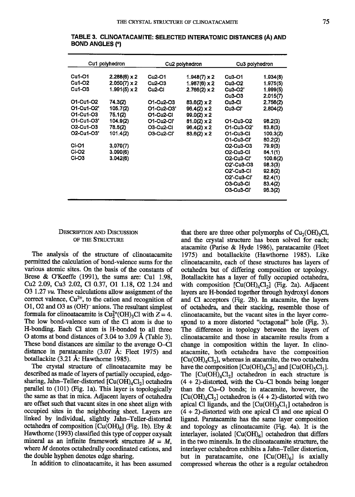|                                                                                    | Cu1 polyhedron                                                                                                  |                                                                                                              | Cu2 polyhedron                                                                                                                                            | Cu3 polyhedron                                                                                                                                                                                 |                                                                                       |
|------------------------------------------------------------------------------------|-----------------------------------------------------------------------------------------------------------------|--------------------------------------------------------------------------------------------------------------|-----------------------------------------------------------------------------------------------------------------------------------------------------------|------------------------------------------------------------------------------------------------------------------------------------------------------------------------------------------------|---------------------------------------------------------------------------------------|
| Cu1-O1<br>Cu1-O2<br>$Cu1-O3$<br>O1-Cu1-O2<br>O1-Cu1-O2'<br>O1-Cu1-O3<br>O1-Cu1-O3' | $2.288(6) \times 2$<br>$2.050(7) \times 2$<br>$1.991(5) \times 2$<br>74.3(2)<br>105.7(2)<br>75.1(2)<br>104.9(2) | Cu <sub>2</sub> -01<br>$Cu2-O3$<br>Cu <sub>2</sub> -Cl<br>O1-Cu2-O3<br>O1-Cu2-O3'<br>O1-Cu2-Cl<br>01-Cu2-Cl' | $1.948(7) \times 2$<br>$1.987(6) \times 2$<br>$2.766(2) \times 2$<br>$83.6(2) \times 2$<br>$96.4(2) \times 2$<br>$99.0(2) \times 2$<br>$81.0(2) \times 2$ | $Cu3-O1$<br><b>Cu3-O2</b><br>$Cu3-O2'$<br>Cu <sub>3</sub> -03<br>Cu <sub>3</sub> -CI<br>Cu <sub>3</sub> -Ci'<br>O1-Cu3-O2                                                                      | 1.934(8)<br>1.975(5)<br>1.999(5)<br>2.015(7)<br>2.756(2)<br>2.804(2)<br>98.2(3)       |
| O <sub>2</sub> -Cu1-O <sub>3</sub><br>O2-Cu1-O3'                                   | 78.5(2)<br>101.4(2)                                                                                             | O3-Cu2-Cl<br><b>O3-Cu2-Cl'</b>                                                                               | $96.4(2) \times 2$<br>$83.6(2) \times 2$                                                                                                                  | O1-Cu3-O2'<br>01-Cu3-Cl<br>O1-Cu3-Cl'                                                                                                                                                          | 83.8(3)<br>100.3(2)<br>80,2(2)                                                        |
| <b>CI-O1</b><br>CI-O2<br>CI-O3                                                     | 3,070(7)<br>3.090(6)<br>3.042(6)                                                                                |                                                                                                              |                                                                                                                                                           | O2-Cu3-O3<br>O <sub>2</sub> -Cu <sub>3</sub> -Cl<br><b>O2-Cu3-Cl'</b><br>O <sub>2</sub> '-Cu <sub>3</sub> -O <sub>3</sub><br>O <sub>2</sub> '-Cu3-Cl<br>O2'-Cu3-Cl'<br>O3-Cu3-CI<br>O3-Cu3-Cl' | 79.9(3)<br>84.1(1)<br>100.6(2)<br>98.3(3)<br>92.8(2)<br>82.4(1)<br>83.4(2)<br>96.3(2) |

TABLE 3. CLINOATACAMITE: SELECTED INTERATOMIC DISTANCES (Å) AND **BOND ANGLES (°)** 

# **DESCRIPTION AND DISCUSSION** OF THE STRUCTURE

The analysis of the structure of clinoatacamite permitted the calculation of bond-valence sums for the various atomic sites. On the basis of the constants of Brese & O'Keeffe  $(1991)$ , the sums are: Cu1 1.98, Cu<sub>2</sub> 2.09, Cu<sub>3</sub> 2.02, C<sub>1</sub> 0.37, O<sub>1</sub> 1.18, O<sub>2</sub> 1.24 and O3 1.27 vu. These calculations allow assignment of the correct valence,  $Cu^{2+}$ , to the cation and recognition of O1, O2 and O3 as (OH)<sup>-</sup> anions. The resultant simplest formula for clinoatacamite is  $Cu<sup>2+</sup><sub>2</sub>(OH)<sub>3</sub>Cl$  with  $Z = 4$ . The low bond-valence sum of the Cl atom is due to H-bonding. Each Cl atom is H-bonded to all three O atoms at bond distances of 3.04 to 3.09 Å (Table 3). These bond distances are similar to the average O-Cl distance in paratacamite  $(3.07 \text{ Å})$ : Fleet 1975) and botallackite  $(3.21 \text{ Å}$ : Hawthorne 1985).

The crystal structure of clinoatacamite may be described as made of layers of partially occupied, edgesharing, Jahn-Teller-distorted [Cu(OH)<sub>4</sub>Cl<sub>2</sub>] octahedra parallel to (101) (Fig. 1a). This layer is topologically the same as that in mica. Adjacent layers of octahedra are offset such that vacant sites in one sheet align with occupied sites in the neighboring sheet. Layers are linked by individual, slightly Jahn-Teller-distorted octahedra of composition  $[Cu(OH)<sub>6</sub>]$  (Fig. 1b). Eby & Hawthorne (1993) classified this type of copper oxysalt mineral as an infinite framework structure  $M = M$ . where M denotes octahedrally coordinated cations, and the double hyphen denotes edge sharing.

In addition to clinoatacamite, it has been assumed

that there are three other polymorphs of  $Cu<sub>2</sub>(OH)<sub>3</sub>Cl$ , and the crystal structure has been solved for each; atacamite (Parise & Hyde 1986), paratacamite (Fleet 1975) and botallackite (Hawthorne 1985). Like clinoatacamite, each of these structures has layers of octahedra but of differing composition or topology. Botallackite has a layer of fully occupied octahedra, with composition  $[Cu(OH)<sub>4</sub>Cl<sub>2</sub>]$  (Fig. 2a). Adjacent layers are H-bonded together through hydroxyl donors and Cl acceptors (Fig. 2b). In atacamite, the layers of octahedra, and their stacking, resemble those of clinoatacamite, but the vacant sites in the layer correspond to a more distorted "octagonal" hole (Fig. 3). The difference in topology between the layers of clinoatacamite and those in atacamite results from a change in composition within the layer. In clinoatacamite, both octahedra have the composition  $[Cu(OH)<sub>4</sub>Cl<sub>2</sub>]$ , whereas in atacamite, the two octahedra have the composition  $[Cu(OH)<sub>4</sub>Cl<sub>2</sub>]$  and  $[Cu(OH)<sub>5</sub>Cl<sub>1</sub>].$ The  $[Cu(OH)<sub>4</sub>Cl<sub>2</sub>]$  octahedron in each structure is  $(4 + 2)$ -distorted, with the Cu–Cl bonds being longer than the Cu–O bonds; in atacamite, however, the  $[Cu(OH)<sub>4</sub>Cl<sub>2</sub>]$  octahedron is (4 + 2)-distorted with two apical Cl ligands, and the  $\lceil Cu(OH), Cl_1 \rceil$  octahedron is  $(4 + 2)$ -distorted with one apical Cl and one apical O ligand. Paratacamite has the same layer composition and topology as clinoatacamite (Fig. 4a). It is the interlayer, isolated [Cu(OH)<sub>6</sub>] octahedron that differs in the two minerals. In the clinoatacamite structure, the interlayer octahedron exhibits a Jahn-Teller distortion, but in paratacamite, one  $[Cu(OH)<sub>6</sub>]$  is axially compressed whereas the other is a regular octahedron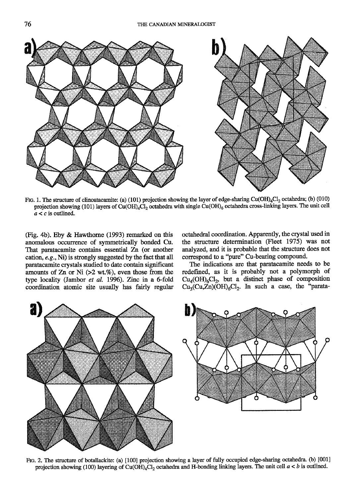

FIG. 1. The structure of clinoatacamite: (a) (101) projection showing the layer of edge-sharing Cu(OH)<sub>4</sub>Cl<sub>2</sub> octahedra; (b) (010) projection showing (101) layers of Cu(OH)<sub>4</sub>Cl<sub>2</sub> octahedra with single Cu(OH)<sub>6</sub> octahedra cross-linking layers. The unit cell  $a < c$  is outlined.

(Fig. 4b). Eby & Hawthorne (1993) remarked on this anomalous occurrence of symmetrically bonded Cu. That parafacamite contains essential Zn (or another cation,  $e.g., Ni$ ) is strongly suggested by the fact that all paratacamite crystals studied to date contain significant amounts of  $Zn$  or Ni  $(>2 \text{ wt.}\%)$ , even those from the type locality (Jambor et al. 1996). Zinc in a 6-fold coordination atomic site usually has fairly regular octahedral coordination. Apparently, the crystal used in the stucture determination (Fleet 1975) was not analyzed, and it is probable that the structure does not correspond to a "pure" Cu-bearing compound.

The indications are that paratacamite needs to be redefined, as it is probably not a polymorph of  $Cu<sub>4</sub>(OH)<sub>6</sub>Cl<sub>2</sub>$ , but a distinct phase of composition  $Cu_3Cu_2Zn)$ (OH)<sub>6</sub>Cl<sub>2</sub>. In such a case, the "parata-



FIG. 2. The structure of botallackite: (a) [100] projection showing a layer of fully occupied edge-sharing octahedra. (b) [001] projection showing (100) layering of Cu(OH)<sub>4</sub>Cl<sub>2</sub> octahedra and H-bonding linking layers. The unit cell  $a < b$  is outlined.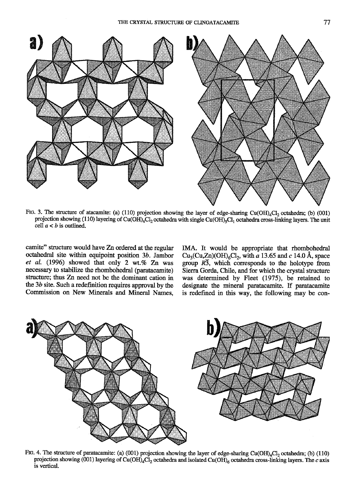

FtG. 3. The structure of atacamite: (a) (110) projection showing the layer of edge-sharing Cu(OH)<sub>4</sub>Cl<sub>2</sub> octahedra; (b) (001) projection showing (110) layering of Cu(OH)<sub>4</sub>Cl<sub>2</sub> octahedra with single Cu(OH)<sub>5</sub>Cl<sub>1</sub> octahedra cross-linking layers. The unit cell  $a < b$  is outlined.

camite" sftucture would have Zn ordered at the regular octahedral site within equipoint position  $3b$ . Jambor et al. (1996) showed that only 2 wt.% Zn was necessary to stabilize the rhombohedral (pamtacamite) structure; thus Zn need not be the dominant cation in the 3b site. Such a redefinition requires approval by the Commission on New Minerals and Mineral Names.

IMA. It would be appropriate that rhombohedral Cu<sub>3</sub>(Cu,Zn)(OH)<sub>6</sub>Cl<sub>2</sub>, with  $\overline{a}$  13.65 and c 14.0 Å, space group  $R\overline{3}$ , which corresponds to the holotype from Sierra Gorda, Chile, and for which the crystal structure was determined by Fleet (1975), be retained to designate the mineral paratacamite. If paratacamite is redefined in this way, the following may be con-



FIG. 4. The structure of paratacamite: (a) (001) projection showing the layer of edge-sharing Cu(OH)<sub>4</sub>Cl<sub>2</sub> octahedra; (b) (110) projection showing (001) layering of Cu(OH)<sub>4</sub>Cl<sub>2</sub> octahedra and isolated Cu(OH)<sub>6</sub> octahedra cross-linking layers. The c axis is vertical.